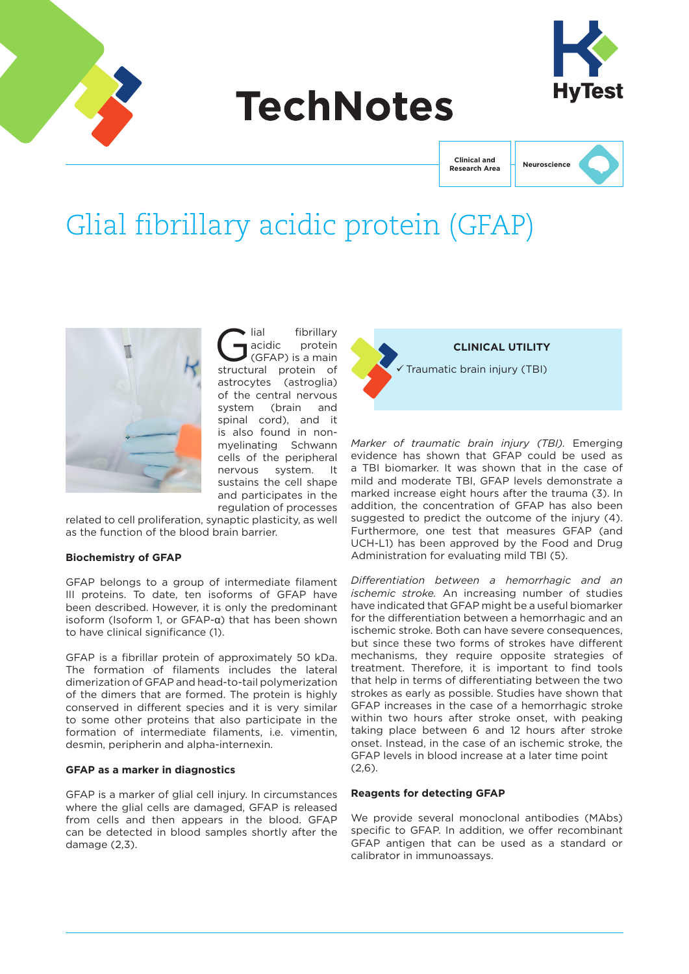

# **TechNotes**



**Clinical and Research Area**



# Glial fibrillary acidic protein (GFAP)



Glial fibrillary<br>
GFAP) is a main<br>
ctructural protein of acidic protein structural protein of astrocytes (astroglia) of the central nervous system (brain and spinal cord), and it is also found in nonmyelinating Schwann cells of the peripheral nervous system. It sustains the cell shape and participates in the regulation of processes

related to cell proliferation, synaptic plasticity, as well as the function of the blood brain barrier.

#### **Biochemistry of GFAP**

GFAP belongs to a group of intermediate filament III proteins. To date, ten isoforms of GFAP have been described. However, it is only the predominant isoform (Isoform 1, or GFAP-α) that has been shown to have clinical significance (1).

GFAP is a fibrillar protein of approximately 50 kDa. The formation of filaments includes the lateral dimerization of GFAP and head-to-tail polymerization of the dimers that are formed. The protein is highly conserved in different species and it is very similar to some other proteins that also participate in the formation of intermediate filaments, i.e. vimentin, desmin, peripherin and alpha-internexin.

#### **GFAP as a marker in diagnostics**

GFAP is a marker of glial cell injury. In circumstances where the glial cells are damaged, GFAP is released from cells and then appears in the blood. GFAP can be detected in blood samples shortly after the damage (2,3).

**CLINICAL UTILITY** Traumatic brain injury (TBI)

*Marker of traumatic brain injury (TBI).* Emerging evidence has shown that GFAP could be used as a TBI biomarker. It was shown that in the case of mild and moderate TBI, GFAP levels demonstrate a marked increase eight hours after the trauma (3). In addition, the concentration of GFAP has also been suggested to predict the outcome of the injury (4). Furthermore, one test that measures GFAP (and UCH-L1) has been approved by the Food and Drug Administration for evaluating mild TBI (5).

*Differentiation between a hemorrhagic and an ischemic stroke.* An increasing number of studies have indicated that GFAP might be a useful biomarker for the differentiation between a hemorrhagic and an ischemic stroke. Both can have severe consequences, but since these two forms of strokes have different mechanisms, they require opposite strategies of treatment. Therefore, it is important to find tools that help in terms of differentiating between the two strokes as early as possible. Studies have shown that GFAP increases in the case of a hemorrhagic stroke within two hours after stroke onset, with peaking taking place between 6 and 12 hours after stroke onset. Instead, in the case of an ischemic stroke, the GFAP levels in blood increase at a later time point (2,6).

#### **Reagents for detecting GFAP**

We provide several monoclonal antibodies (MAbs) specific to GFAP. In addition, we offer recombinant GFAP antigen that can be used as a standard or calibrator in immunoassays.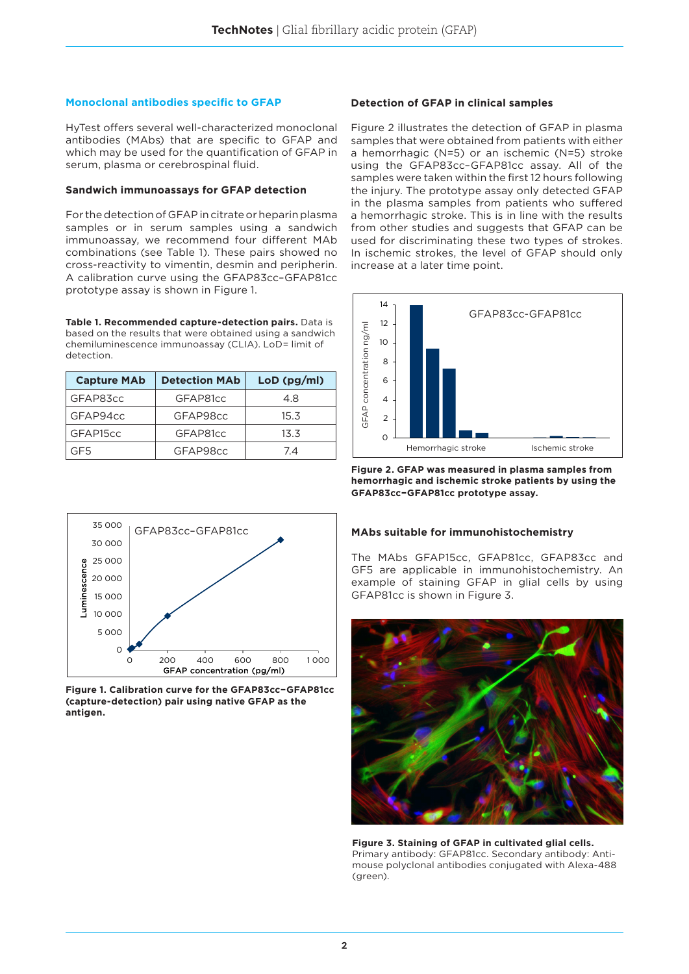#### **Monoclonal antibodies specific to GFAP**

HyTest offers several well-characterized monoclonal antibodies (MAbs) that are specific to GFAP and which may be used for the quantification of GFAP in serum, plasma or cerebrospinal fluid.

#### **Sandwich immunoassays for GFAP detection**

For the detection of GFAP in citrate or heparin plasma samples or in serum samples using a sandwich immunoassay, we recommend four different MAb combinations (see Table 1). These pairs showed no cross-reactivity to vimentin, desmin and peripherin. A calibration curve using the GFAP83cc–GFAP81cc prototype assay is shown in Figure 1.

**Table 1. Recommended capture-detection pairs.** Data is based on the results that were obtained using a sandwich chemiluminescence immunoassay (CLIA). LoD= limit of detection.

| <b>Capture MAb</b> | <b>Detection MAb</b> | LoD (pg/ml) |
|--------------------|----------------------|-------------|
| GFAP83cc           | GFAP81cc             | 4.8         |
| GFAP94cc           | GFAP98cc             | 15.3        |
| GFAP15cc           | GFAP81cc             | 13.3        |
| GE5                | GFAP98cc             | 74          |

#### **Detection of GFAP in clinical samples**

Figure 2 illustrates the detection of GFAP in plasma samples that were obtained from patients with either a hemorrhagic (N=5) or an ischemic (N=5) stroke using the GFAP83cc–GFAP81cc assay. All of the samples were taken within the first 12 hours following the injury. The prototype assay only detected GFAP in the plasma samples from patients who suffered a hemorrhagic stroke. This is in line with the results from other studies and suggests that GFAP can be used for discriminating these two types of strokes. In ischemic strokes, the level of GFAP should only increase at a later time point.



**Figure 2. GFAP was measured in plasma samples from hemorrhagic and ischemic stroke patients by using the GFAP83cc–GFAP81cc prototype assay.**



The MAbs GFAP15cc, GFAP81cc, GFAP83cc and GF5 are applicable in immunohistochemistry. An example of staining GFAP in glial cells by using GFAP81cc is shown in Figure 3.



**Figure 3. Staining of GFAP in cultivated glial cells.**  Primary antibody: GFAP81cc. Secondary antibody: Antimouse polyclonal antibodies conjugated with Alexa-488 (green).



**Figure 1. Calibration curve for the GFAP83cc–GFAP81cc (capture-detection) pair using native GFAP as the antigen.**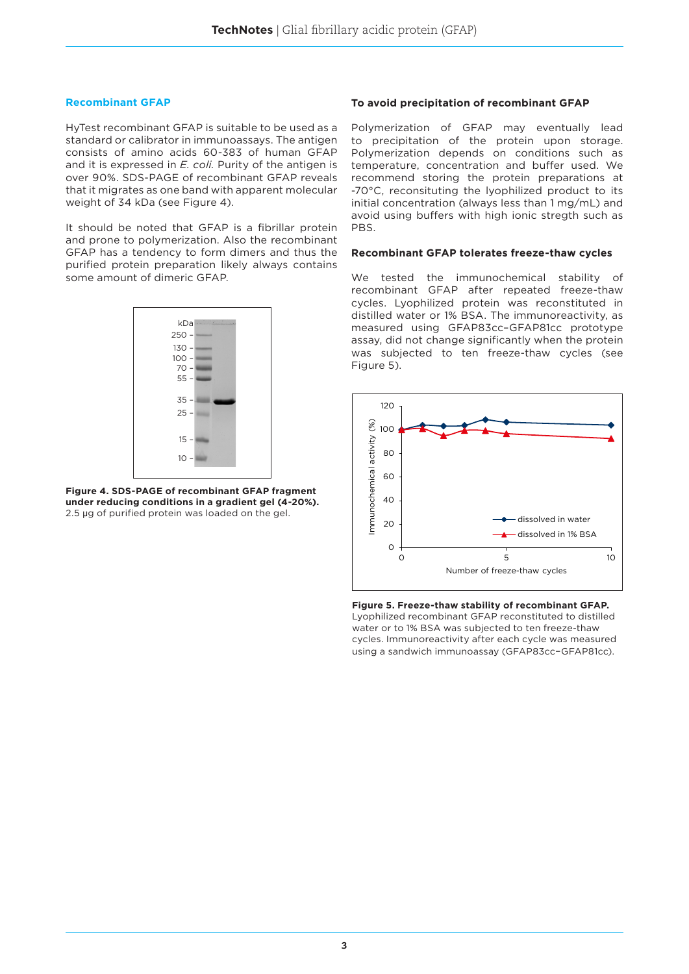#### **Recombinant GFAP**

HyTest recombinant GFAP is suitable to be used as a standard or calibrator in immunoassays. The antigen consists of amino acids 60-383 of human GFAP and it is expressed in *E. coli.* Purity of the antigen is over 90%. SDS-PAGE of recombinant GFAP reveals that it migrates as one band with apparent molecular weight of 34 kDa (see Figure 4).

It should be noted that GFAP is a fibrillar protein and prone to polymerization. Also the recombinant GFAP has a tendency to form dimers and thus the purified protein preparation likely always contains some amount of dimeric GFAP.



**Figure 4. SDS-PAGE of recombinant GFAP fragment under reducing conditions in a gradient gel (4-20%).**  2.5 µg of purified protein was loaded on the gel.

### **To avoid precipitation of recombinant GFAP**

Polymerization of GFAP may eventually lead to precipitation of the protein upon storage. Polymerization depends on conditions such as temperature, concentration and buffer used. We recommend storing the protein preparations at -70°C, reconsituting the lyophilized product to its initial concentration (always less than 1 mg/mL) and avoid using buffers with high ionic stregth such as PBS.

#### **Recombinant GFAP tolerates freeze-thaw cycles**

We tested the immunochemical stability of recombinant GFAP after repeated freeze-thaw cycles. Lyophilized protein was reconstituted in distilled water or 1% BSA. The immunoreactivity, as measured using GFAP83cc–GFAP81cc prototype assay, did not change significantly when the protein was subjected to ten freeze-thaw cycles (see Figure 5).



**Figure 5. Freeze-thaw stability of recombinant GFAP.**  Lyophilized recombinant GFAP reconstituted to distilled water or to 1% BSA was subjected to ten freeze-thaw cycles. Immunoreactivity after each cycle was measured using a sandwich immunoassay (GFAP83cc–GFAP81cc).